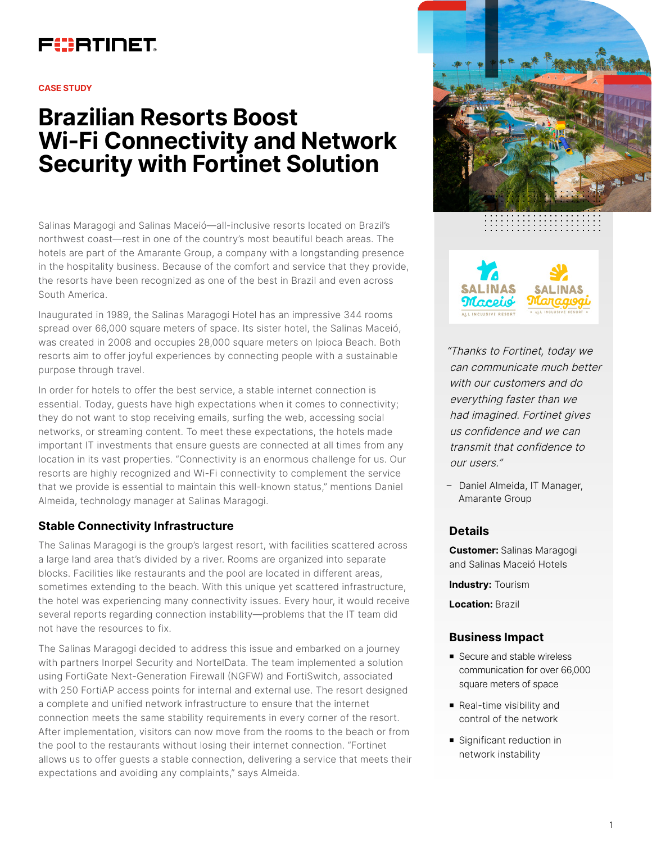# FURTINET

#### **CASE STUDY**

# **Brazilian Resorts Boost Wi-Fi Connectivity and Network Security with Fortinet Solution**

Salinas Maragogi and Salinas Maceió—all-inclusive resorts located on Brazil's northwest coast—rest in one of the country's most beautiful beach areas. The hotels are part of the Amarante Group, a company with a longstanding presence in the hospitality business. Because of the comfort and service that they provide, the resorts have been recognized as one of the best in Brazil and even across South America.

Inaugurated in 1989, the Salinas Maragogi Hotel has an impressive 344 rooms spread over 66,000 square meters of space. Its sister hotel, the Salinas Maceió, was created in 2008 and occupies 28,000 square meters on Ipioca Beach. Both resorts aim to offer joyful experiences by connecting people with a sustainable purpose through travel.

In order for hotels to offer the best service, a stable internet connection is essential. Today, guests have high expectations when it comes to connectivity; they do not want to stop receiving emails, surfing the web, accessing social networks, or streaming content. To meet these expectations, the hotels made important IT investments that ensure guests are connected at all times from any location in its vast properties. "Connectivity is an enormous challenge for us. Our resorts are highly recognized and Wi-Fi connectivity to complement the service that we provide is essential to maintain this well-known status," mentions Daniel Almeida, technology manager at Salinas Maragogi.

# **Stable Connectivity Infrastructure**

The Salinas Maragogi is the group's largest resort, with facilities scattered across a large land area that's divided by a river. Rooms are organized into separate blocks. Facilities like restaurants and the pool are located in different areas, sometimes extending to the beach. With this unique yet scattered infrastructure, the hotel was experiencing many connectivity issues. Every hour, it would receive several reports regarding connection instability—problems that the IT team did not have the resources to fix.

The Salinas Maragogi decided to address this issue and embarked on a journey with partners Inorpel Security and NortelData. The team implemented a solution using FortiGate Next-Generation Firewall (NGFW) and FortiSwitch, associated with 250 FortiAP access points for internal and external use. The resort designed a complete and unified network infrastructure to ensure that the internet connection meets the same stability requirements in every corner of the resort. After implementation, visitors can now move from the rooms to the beach or from the pool to the restaurants without losing their internet connection. "Fortinet allows us to offer guests a stable connection, delivering a service that meets their expectations and avoiding any complaints," says Almeida.





"Thanks to Fortinet, today we can communicate much better with our customers and do everything faster than we had imagined. Fortinet gives us confidence and we can transmit that confidence to our users."

– Daniel Almeida, IT Manager, Amarante Group

# **Details**

**Customer:** Salinas Maragogi and Salinas Maceió Hotels

**Industry:** Tourism

**Location:** Brazil

# **Business Impact**

- Secure and stable wireless communication for over 66,000 square meters of space
- Real-time visibility and control of the network
- **Significant reduction in** network instability